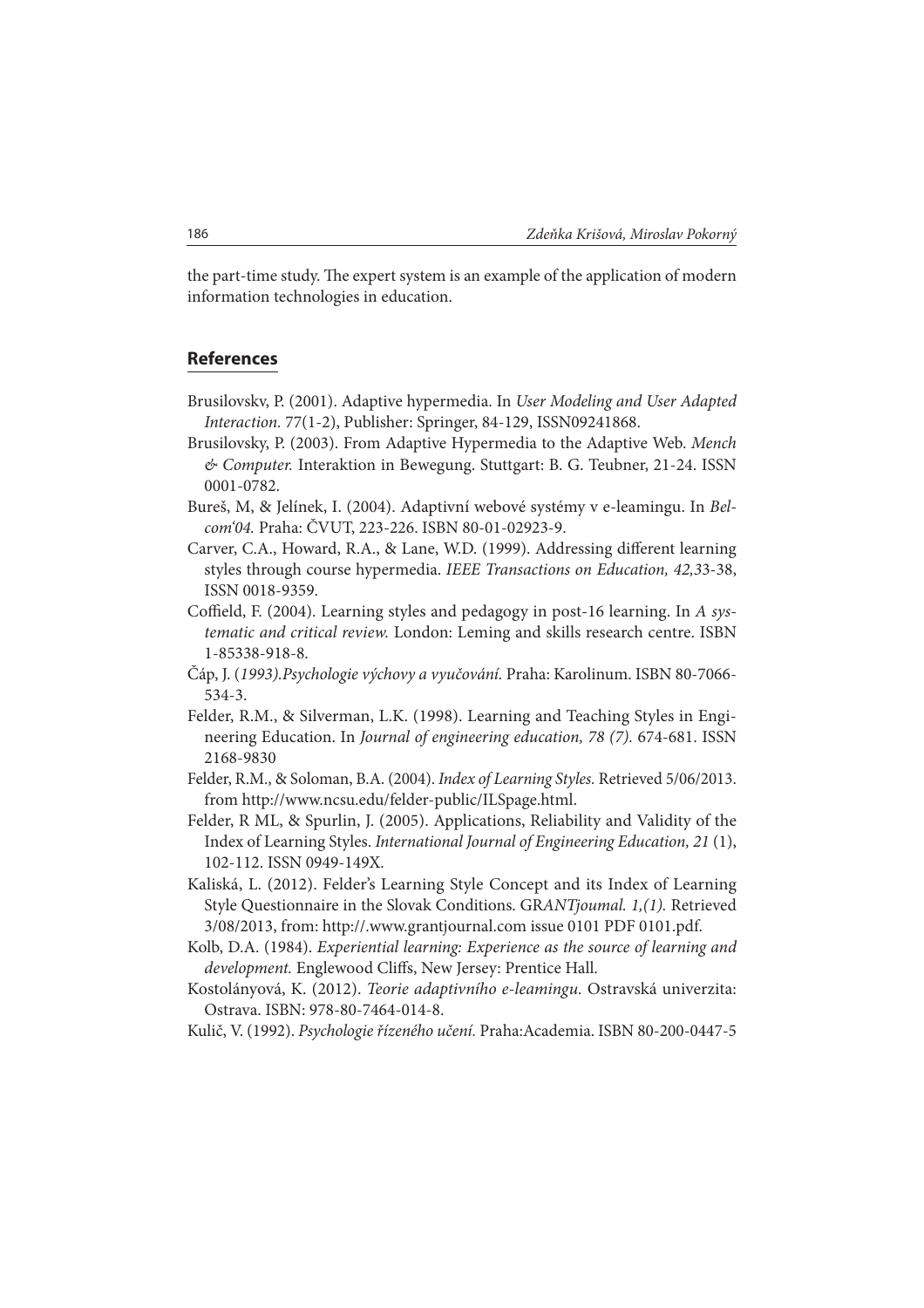the part-time study. The expert system is an example of the application of modern information technologies in education.

## **References**

- Brusilovskv, P. (2001). Adaptive hypermedia. In User Modeling and User Adapted Interaction. 77(1-2), Publisher: Springer, 84-129, ISSN09241868.
- Brusilovsky, P. (2003). From Adaptive Hypermedia to the Adaptive Web. Mench & Computer. Interaktion in Bewegung. Stuttgart: B. G. Teubner, 21-24. ISSN 0001-0782.
- Bureš, M, & Jelínek, I. (2004). Adaptivní webové systémy v e-leamingu. In Belcom'04. Praha: ČVUT, 223-226. ISBN 80-01-02923-9.
- Carver, C.A., Howard, R.A., & Lane, W.D. (1999). Addressing different learning styles through course hypermedia. IEEE Transactions on Education, 42,33-38, ISSN 0018-9359.
- Coffield, F. (2004). Learning styles and pedagogy in post-16 learning. In A systematic and critical review. London: Leming and skills research centre. ISBN 1-85338-918-8.
- Čáp, J. (1993).Psychologie výchovy a vyučování. Praha: Karolinum. ISBN 80-7066- 534-3.
- Felder, R.M., & Silverman, L.K. (1998). Learning and Teaching Styles in Engineering Education. In Journal of engineering education, 78 (7). 674-681. ISSN 2168-9830
- Felder, R.M., & Soloman, B.A. (2004). Index of Learning Styles. Retrieved 5/06/2013. from http://www.ncsu.edu/felder-public/ILSpage.html.
- Felder, R ML, & Spurlin, J. (2005). Applications, Reliability and Validity of the Index of Learning Styles. International Journal of Engineering Education, 21 (1), 102-112. ISSN 0949-149X.
- Kaliská, L. (2012). Felder's Learning Style Concept and its Index of Learning Style Questionnaire in the Slovak Conditions. GRANTjoumal. 1,(1). Retrieved 3/08/2013, from: http://.www.grantjournal.com issue 0101 PDF 0101.pdf.
- Kolb, D.A. (1984). Experiential learning: Experience as the source of learning and development. Englewood Cliffs, New Jersey: Prentice Hall.
- Kostolányová, K. (2012). Teorie adaptivního e-leamingu. Ostravská univerzita: Ostrava. ISBN: 978-80-7464-014-8.

Kulič, V. (1992). Psychologie řízeného učení. Praha:Academia. ISBN 80-200-0447-5